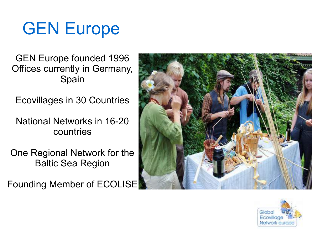## GEN Europe

GEN Europe founded 1996 Offices currently in Germany, Spain

Ecovillages in 30 Countries

National Networks in 16-20 countries

One Regional Network for the Baltic Sea Region

Founding Member of ECOLISE



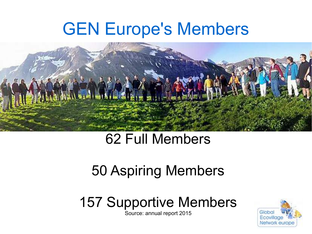## GEN Europe's Members



### 62 Full Members

### 50 Aspiring Members

### 157 Supportive Members

Source: annual report 2015

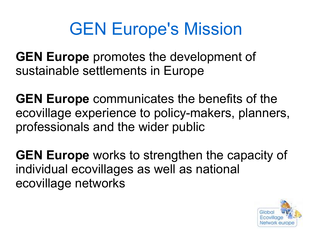# GEN Europe's Mission

**GEN Europe** promotes the development of sustainable settlements in Europe

**GEN Europe** communicates the benefits of the ecovillage experience to policy-makers, planners, professionals and the wider public

**GEN Europe** works to strengthen the capacity of individual ecovillages as well as national ecovillage networks

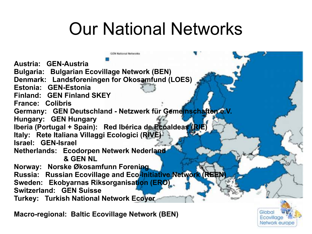## Our National Networks

**CN National Nationalist** 

**Austria: GEN-Austria Bulgaria: Bulgarian Ecovillage Network (BEN) Denmark: Landsforeningen for Okosamfund (LOES) Estonia: GEN-Estonia Finland: GEN Finland SKEY France: Colibris Germany: GEN Deutschland - Netzwerk für Gemeinschaften e.V. Hungary: GEN Hungary Iberia (Portugal + Spain): Red Ibérica de Ecoaldeas (RIE) Italy: Rete Italiana Villaggi Ecologici (RIVE) Israel: GEN-Israel Netherlands: Ecodorpen Netwerk Nederland & GEN NL Norway: Norske Økosamfunn Forening Russia: Russian Ecovillage and Eco-initiative Network (REEN) Sweden: Ekobyarnas Riksorganisation (ERO) Switzerland: GEN Suisse Turkey: Turkish National Network Ecoyer**

**Macro-regional: Baltic Ecovillage Network (BEN)**

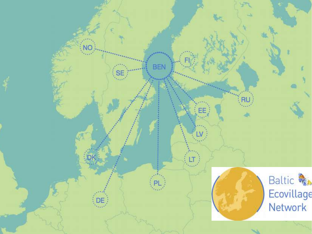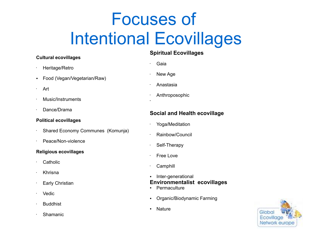# Focuses of Intentional Ecovillages

#### **Cultural ecovillages**

- Heritage/Retro
- Food (Vegan/Vegetarian/Raw)
- Art
- Music/Instruments
- Dance/Drama

#### **Political ecovillages**

- Shared Economy Communes (Komunja)
- Peace/Non-violence

#### **Religious ecovillages**

- Catholic
- Khrisna
- **Early Christian**
- Vedic
- Buddhist
- Shamanic

#### **Spiritual Ecovillages**

• Gaia

•

- New Age
- Anastasia
- **Anthroposophic**

#### **Social and Health ecovillage**

- Yoga/Meditation
- Rainbow/Council
- Self-Therapy
- Free Love
- **Camphill**

#### Inter-generational **Environmentalist ecovillages**

- **Permaculture**
- Organic/Biodynamic Farming
- Nature

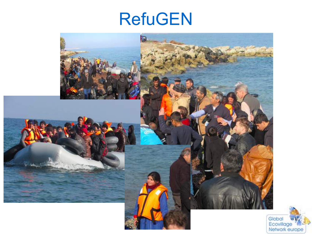## RefuGEN